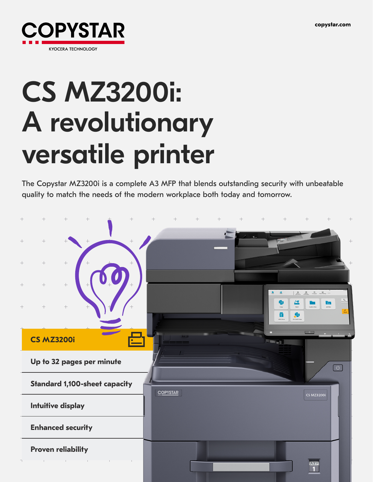

# CS MZ3200i: A revolutionary versatile printer

The Copystar MZ3200i is a complete A3 MFP that blends outstanding security with unbeatable quality to match the needs of the modern workplace both today and tomorrow.

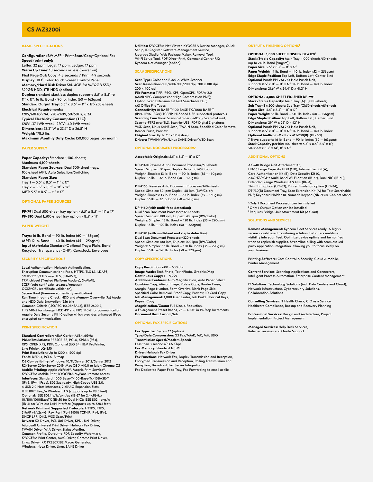# **CS MZ3200i**

# **BASIC SPECIFICATIONS**

**Configuration:** BW MFP - Print/Scan/Copy/Optional Fax **Speed (print only):**  Letter: 32 ppm, Legal: 17 ppm, Ledger: 17 ppm **Warm Up Time:** 18 seconds or less (power on) **First Page Out:** Copy: 4.3 seconds / Print: 4.9 seconds **Display:** 10.1" Color Touch Screen Control Panel **Memory/Hard Disk Drive:** Std. 4GB RAM/32GB SSD/ 320GB HDD, 1TB HDD (option) **Duplex:** standard stackless duplex supports 5.5" x 8.5" to 11" x 17", 16 lb. Bond - 90 lb. Index (60 – 163gsm) **Standard Output Tray:** 5.5" x 8.5" – 11" x 17"/250-sheets **Electrical Requirements:**  120V/60Hz/9.9A; 220-240V, 50/60Hz, 6.3A **Typical Electricity Consumption (TEC):**  120V: .37 kWh/week; 220V: .40 kWh/week **Dimensions:** 23.3" W x 27.4" D x 26.8" H **Weight:** 178.5 lbs **Maximum Monthly Duty Cycle:** 150,000 pages per month

#### **PAPER SUPPLY**

**Paper Capacity:** Standard 1,100-sheets; Maximum 4,100-sheets **Standard Paper Sources:** Dual 500-sheet trays, 100-sheet MPT, Auto Selection/Switching **Standard Paper Size:**  Tray  $1 - 5.5$ " x  $8.5$ "  $- 11$ " x  $17'$ Tray  $2 - 5.5'' \times 8.5'' - 11'' \times 17''$ MPT:  $5.5'' \times 8.5'' - 11'' \times 17''$ 

# **OPTIONAL PAPER SOURCES**

**PF-791** Dual 500-sheet tray option - 5.5" x 8.5" – 11" x 17" **PF-810** Dual 1,500-sheet tray option - 8.5" x 11"

#### **PAPER WEIGHT**

**Trays:** 16 lb. Bond – 90 lb. Index (60 – 163gsm) **MPT:** 12 lb. Bond – 140 lb. Index (45 – 256gsm) **Input Materials:** Standard/Optional Trays: Plain, Bond, Recycled, Transparency (OHP), Cardstock, Envelopes

# **SECURITY SPECIFICATIONS**

Local Authentication, Network Authentication, Encryption Communication (IPsec, HTTPS, TLS 1.3, LDAPS, SMTP/POP/FTPS over TLS, SNMPv3), TPM chipset (Trusted Platform Module), S/MIME, SCEP (auto certificate issuance/renewal), OCSP/CRL (certificate validation), Secure Boot (firmware authenticity verification), Run Time Integrity Check, HDD and Memory Overwrite (7x) Mode and HDD Data Encryption (256 bit), Common Criteria (ISO/IEC-15408/EAL2), IEEE 2600.2, FIPS 140-2 for storage, HCD-PP and FIPS 140-2 for communication require Data Security Kit 10 option which provides enhanced IPsec encrypted communication

# **PRINT SPECIFICATION**

**Standard Controller:** ARM Cortex-A53/1.6GHz **PDLs/Emulations:** PRESCRIBE, PCL6, KPDL3 (PS3), XPS, OPEN XPS, PDF; Optional (UG 34): IBM ProPrinter, Line Printer, LQ-850 **Print Resolution:** Up to 1200 x 1200 dpi **Fonts:** KPDL3, PCL6, Bitmap **OS Compatibility:** Windows: 10/11/Server 2012/Server 2012 R2/Server 2016/Server 2019; Mac OS X v10.0 or later; Chrome OS **Mobile Printing:** Apple AirPrint®, Mopria Print Service®, KYOCERA Mobile Print, KYOCERA MyPanel remote access **Interfaces:** Standard: 1000 Base-T/100-Base-Tx/10BASE-T (IPv6, IPv4, IPsec), 802.3az ready, High-Speed USB 3.0, 4 USB 2.0 Host Interfaces, 2 eKUIO Expansion Slots, IEEE 802.11b/g/n Wireless LAN (supports up to 98.5 feet) Optional: IEEE 802.11a/b/g/n/ac (IB-37 for 2.4/5GHz), 10/100/1000BaseTX (IB-50 for Dual NIC); IEEE 802.11b/g/n (IB-51 for Wireless LAN Interface (supports up to 328.1 feet) **Network Print and Supported Protocols:** HTTPS, FTPS, SNMP v1/v2c/v3, Raw Port (Port 9100) TCP/IP, IPv4, IPv6 DHCP LPR, DNS, WSD Scan/Print **Drivers:** KX Driver, PCL Uni-Driver, KPDL Uni-Driver, Microsoft Universal Print Driver, Network Fax Driver, TWAIN Driver, WIA Driver, Status Monitor, Common Profile, Output to PDF, Security Watermark, KYOCERA Print Center, MAC Driver, Chrome Print Driver, Linux Driver, KX PRESCRIBE Macro Generator, Windows Inbox Driver, Linux SANE Driver

**Utilities:** KYOCERA Net Viewer, KYOCERA Device Manager, Quick Setup, ID Register, Software Management Service, Upgrade Studio, Web Package Maker, Removal Tool, Wi-Fi Setup Tool, PDF Direct Print, Command Center RX; Kyocera Net Manager (option)

#### **SCAN SPECIFICATIONS**

**Scan Type:** Color and Black & White Scanner **Scan Resolution:** 600/400/300/200 dpi, 200 x 100 dpi, 200 x 400 dpi **File Formats:** TIFF, JPEG, XPS, OpenXPS, PDF/A-2.0 (MMR/JPG Compression/High Compression PDF); Option: Scan Extension Kit Text Searchable PDF; MS Office File Types **Connectivity:** 10 BASE-T/100 BASE-TX/1000 BASE-T (IPv4, IPv6, IPSec) TCP/IP, Hi-Speed USB supported protocols **Scanning Functions:** Scan-to-Folder (SMBv3), Scan-to-Email, Scan-to-FTPS over TLS, Scan-to-USB, PDF Digital Signatures, WSD Scan, Linux SANE Scan, TWAIN Scan, Specified Color Removal, Border Erase, Preview **Original Size:** Up to 11" x 17" (Glass) **Drivers:** TWAIN/WIA/Linux SANE Driver/WSD Scan

# **OPTIONAL DOCUMENT PROCESSORS**

**Acceptable Originals:** 5.5" x 8.5" – 11" x 17"

**DP-7140:** Reverse Auto Document Processor/50-sheets Speed: Simplex: 50 ipm; Duplex: 16 ipm (BW/Color) Weight: Simplex: 13 lb. Bond – 90 lb. Index (35 – 160gsm) Duplex: 16 lb. – 32 lb. Bond (50 – 120gsm)

**DP-7150:** Reverse Auto Document Processor/140-sheets Speed: Simplex: 80 ipm; Duplex: 48 ipm (BW/Color) Weight: Simplex: 13 lb. Bond – 90 lb. Index (35 – 160gsm) Duplex: 16 lb. – 32 lb. Bond (50 – 120gsm)

### **DP-7160 (with multi-feed detection):**

Dual Scan Document Processor/320-sheets Speed: Simplex: 100 ipm; Duplex: 200 ipm (BW/Color) Weights: Simplex: 13 lb. Bond – 120 lb. Index (35 – 220gsm) Duplex: 16 lb. – 120 lb. Index (50 – 220gsm)

# **DP-7170 (with multi-feed and staple detection):**

Dual Scan Document Processor/320-sheets Speed: Simplex: 100 ipm; Duplex: 200 ipm (BW/Color) Weights: Simplex: 13 lb. Bond – 120 lb. Index (35 – 220gsm) Duplex: 16 lb. – 120 lb. Index (50 – 220gsm)

# **COPY SPECIFICATIONS**

**Copy Resolution:** 600 x 600 dpi **Image Mode:** Text, Photo, Text/Photo, Graphic/Map **Continuous Copy:** 1 – 9,999 **Additional Features:** Auto Magnification, Auto Paper Select, Combine Copy, Mirror Image, Rotate Copy, Border Erase, Margin, Page Number, Form Overlay, Blank Page Skip, Specified Color Removal, Proof Copy, Preview, ID Card Copy **Job Management:** 1,000 User Codes, Job Build, Shortcut Keys, Repeat Copy **Magnification/Zoom:** Full Size, 4 Reduction, 4 Enlargement Preset Ratios, 25 – 400% in 1% Step Increments **Document Box:** Custom/Job

#### **OPTIONAL FAX SPECIFICATIONS**

**Fax Type:** Fax System 12 (option) **Type/Data Compression:** G3 Fax/MMR, MR, MH, JBIG **Transmission Speed/Modem Speed:** Less than 3 seconds/33.6 Kbps **Fax Memory:** Standard 170 MB **Driver:** Network Fax Driver **Fax Functions:** Network Fax, Duplex Transmission and Reception, Encrypted Transmission and Reception, Polling Transmission and Reception, Broadcast, Fax Server Integration, Fax Dedicated Paper Feed Tray, Fax Forwarding to email or file

#### **OUTPUT & FINISHING OPTIONS²**

# **OPTIONAL 1,000 SHEET FINISHER DF-7120³**

**Stack/Staple Capacity:** Main Tray: 1,000-sheets/50-sheets,<br>(up to 24 lb. Bond [90gsm]) **Paper Size:** 5.5" x 8.5" – 11" x 17" **Paper Weight:** 14 lb. Bond – 140 lb. Index (52 – 256gsm) **Edge Staple Position:** Top Left, Bottom Left, Center Bind **Optional Punch PH-7A:** 2/3 Hole Punch Unit, supports 8.5" x 11" – 11" x 17"; 14 lb. Bond – 140 lb. Index **Dimensions:** 21.6" W x 24.4" D x 41.3" H

# **OPTIONAL 3,000 SHEET FINISHER DF-7913**

**Stack/Staple Capacity:** Main Tray (A): 3,000-sheets; **Sub Tray (B):** 200-sheets; Sub Tray (C):50-sheets/65-sheets **Paper Size:** 5.5" x 8.5" – 11" x 17" **Paper Weight:** 16 lb. Bond – 140 lb. Index (60 – 256gsm) **Edge Staple Position:** Top Left, Bottom Left, Center Bind **Dimensions:** 29" W x 26" D x 42" H **Optional Punch PH-7A:** 2/3 Hole Punch Unit, supports 8.5" x 11" – 11" x 17"; 14 lb. Bond – 140 lb. Index **Optional Multi-Bin Mailbox MT-730(B):** (DF-791) 7 Trays; supports: 16 lb. Bond – 90 lb. Index (60 – 163gsm); **Stack Capacity per bin:** 100-sheets: 5.5″ x 8.5″, 8.5″ x 11″;<br>50-sheets: 8.5″ x 14″, 11″ x 17″

# **ADDITIONAL OPTIONS**

AK-740 Bridge Unit Attachment Kit, HD-16 Large Capacity HDD (1TB), Internet Fax Kit (A), Card Authentication Kit (B), Data Security Kit 10, 2.4GHZ/5GHz Multi-band Wi-Fi option (IB-37), Dual NIC (IB-50), Extended Range Wireless LAN NIC (IB-51), Thin Print option (UG-33), Printer Emulation option (UG-34), DT-730(B) Document Tray, Scan Extension Kit (A) for Text Searchable PDF; Keyboard Holder 10, Numeric Keypad (NK-7130), Cabinet Stand

1 Only 1 Document Processor can be installed 2 Only 1 Output Option can be installed 3 Requires Bridge Unit Attachment Kit (AK-740)

#### **SOLUTIONS AND SERVICES**

**Remote Management:** Kyocera Fleet Services ready! A highly secure cloud-based monitoring solution that offers real-time visibility into your fleet. Optimize device uptime and be notified when to replenish supplies. Streamline billing with seamless 3rd party application integration, allowing you to focus solely on your business.

**Printing Software:** Cost Control & Security, Cloud & Mobile, Printer Management

**Content Services:** Scanning Applications and Connectors, Intelligent Process Automation, Enterprise Content Management

**IT Solutions:** Technology Solutions (incl. Data Centers and Cloud),<br>Network Infrastructure, Cybersecurity Solutions, Collaboration Solutions

**Consulting Services:** IT Health Check, CIO as a Service, Healthcare Compliance, Backup and Recovery Planning

**Professional Services:** Design and Architecture, Project Implementation, Project Management

**Managed Services:** Help Desk Services, Retainer Services and Onsite Support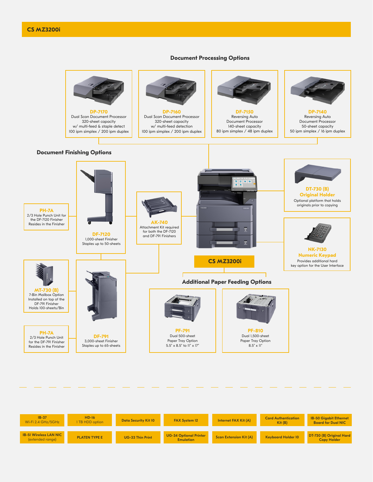# **Document Processing Options**